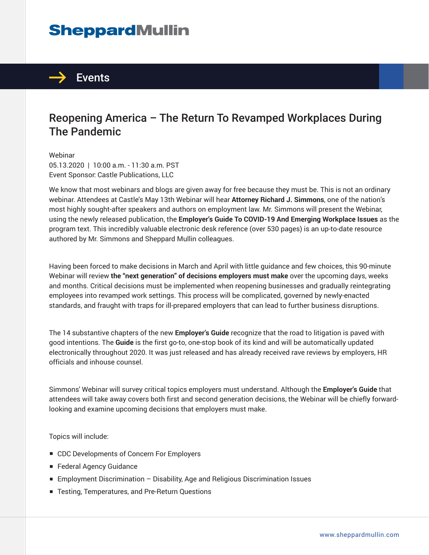# **SheppardMullin**



### Reopening America – The Return To Revamped Workplaces During The Pandemic

Webinar 05.13.2020 | 10:00 a.m. - 11:30 a.m. PST Event Sponsor: Castle Publications, LLC

We know that most webinars and blogs are given away for free because they must be. This is not an ordinary webinar. Attendees at Castle's May 13th Webinar will hear **Attorney Richard J. Simmons**, one of the nation's most highly sought-after speakers and authors on employment law. Mr. Simmons will present the Webinar, using the newly released publication, the **Employer's Guide To COVID-19 And Emerging Workplace Issues** as the program text. This incredibly valuable electronic desk reference (over 530 pages) is an up-to-date resource authored by Mr. Simmons and Sheppard Mullin colleagues.

Having been forced to make decisions in March and April with little guidance and few choices, this 90-minute Webinar will review **the "next generation" of decisions employers must make** over the upcoming days, weeks and months. Critical decisions must be implemented when reopening businesses and gradually reintegrating employees into revamped work settings. This process will be complicated, governed by newly-enacted standards, and fraught with traps for ill-prepared employers that can lead to further business disruptions.

The 14 substantive chapters of the new **Employer's Guide** recognize that the road to litigation is paved with good intentions. The **Guide** is the first go-to, one-stop book of its kind and will be automatically updated electronically throughout 2020. It was just released and has already received rave reviews by employers, HR officials and inhouse counsel.

Simmons' Webinar will survey critical topics employers must understand. Although the **Employer's Guide** that attendees will take away covers both first and second generation decisions, the Webinar will be chiefly forwardlooking and examine upcoming decisions that employers must make.

Topics will include:

- CDC Developments of Concern For Employers
- Federal Agency Guidance
- Employment Discrimination Disability, Age and Religious Discrimination Issues
- Testing, Temperatures, and Pre-Return Questions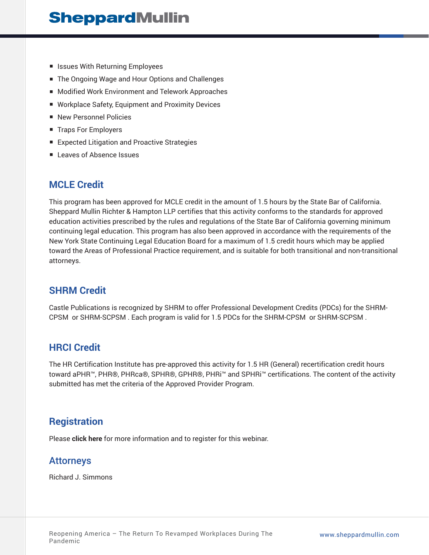- Issues With Returning Employees
- The Ongoing Wage and Hour Options and Challenges
- Modified Work Environment and Telework Approaches
- Workplace Safety, Equipment and Proximity Devices
- New Personnel Policies
- Traps For Employers
- Expected Litigation and Proactive Strategies
- Leaves of Absence Issues

#### **MCLE Credit**

This program has been approved for MCLE credit in the amount of 1.5 hours by the State Bar of California. Sheppard Mullin Richter & Hampton LLP certifies that this activity conforms to the standards for approved education activities prescribed by the rules and regulations of the State Bar of California governing minimum continuing legal education. This program has also been approved in accordance with the requirements of the New York State Continuing Legal Education Board for a maximum of 1.5 credit hours which may be applied toward the Areas of Professional Practice requirement, and is suitable for both transitional and non-transitional attorneys.

#### **SHRM Credit**

Castle Publications is recognized by SHRM to offer Professional Development Credits (PDCs) for the SHRM-CPSM or SHRM-SCPSM . Each program is valid for 1.5 PDCs for the SHRM-CPSM or SHRM-SCPSM .

#### **HRCI Credit**

The HR Certification Institute has pre-approved this activity for 1.5 HR (General) recertification credit hours toward aPHR™, PHR®, PHRca®, SPHR®, GPHR®, PHRi™ and SPHRi™ certifications. The content of the activity submitted has met the criteria of the Approved Provider Program.

#### **Registration**

Please **click here** for more information and to register for this webinar.

#### Attorneys

Richard J. Simmons